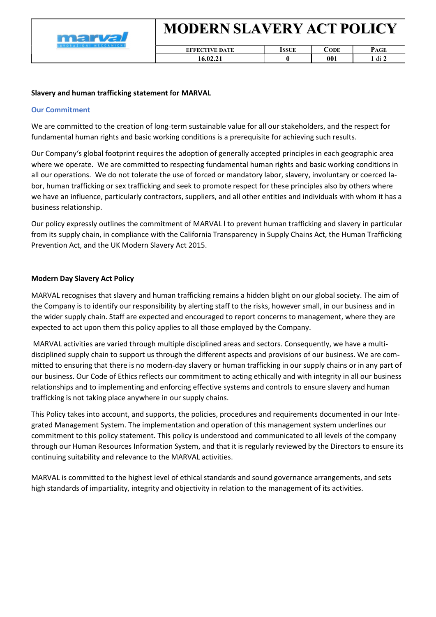

| <b>EFFECTIVE DATE</b> | ODE | ---<br>$\cdot$ . ULL |
|-----------------------|-----|----------------------|
|                       | 001 | d1                   |

## Slavery and human trafficking statement for MARVAL

## Our Commitment

We are committed to the creation of long-term sustainable value for all our stakeholders, and the respect for fundamental human rights and basic working conditions is a prerequisite for achieving such results.

Our Company's global footprint requires the adoption of generally accepted principles in each geographic area where we operate. We are committed to respecting fundamental human rights and basic working conditions in all our operations. We do not tolerate the use of forced or mandatory labor, slavery, involuntary or coerced la bor, human trafficking or sex trafficking and seek to promote respect for these principles also by others where we have an influence, particularly contractors, suppliers, and all other entities and individuals with whom it has a business relationship.

Our policy expressly outlines the commitment of MARVAL l to prevent human trafficking and slavery in particular from its supply chain, in compliance with the California Transparency in Supply Chains Act, the Human Trafficking Prevention Act, and the UK Modern Slavery Act 2015.

## Modern Day Slavery Act Policy

MARVAL recognises that slavery and human trafficking remains a hidden blight on our global society. The aim of the Company is to identify our responsibility by alerting staff to the risks, however small, in our business and in the wider supply chain. Staff are expected and encouraged to report concerns to management, where they are expected to act upon them this policy applies to all those employed by the Company.

 MARVAL activities are varied through multiple disciplined areas and sectors. Consequently, we have a multi disciplined supply chain to support us through the different aspects and provisions of our business. We are com mitted to ensuring that there is no modern day slavery or human trafficking in our supply chains or in any part of our business. Our Code of Ethics reflects our commitment to acting ethically and with integrity in all our business relationships and to implementing and enforcing effective systems and controls to ensure slavery and human trafficking is not taking place anywhere in our supply chains.

This Policy takes into account, and supports, the policies, procedures and requirements documented in our Inte grated Management System. The implementation and operation of this management system underlines our commitment to this policy statement. This policy is understood and communicated to all levels of the company through our Human Resources Information System, and that it is regularly reviewed by the Directors to ensure its continuing suitability and relevance to the MARVAL activities.

MARVAL is committed to the highest level of ethical standards and sound governance arrangements, and sets high standards of impartiality, integrity and objectivity in relation to the management of its activities.